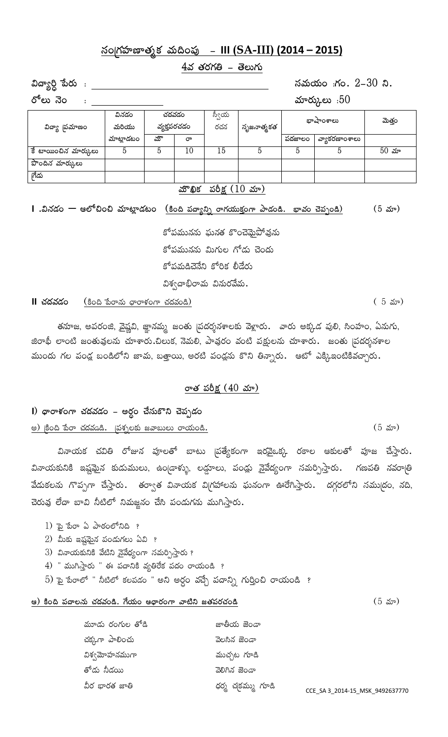# **¿xªZgâÝßéÇéyâWdâ Àâ°¬ª~ßó - III (SA-III) (2014 – 2015)**

 $4$ వ తరగతి – తెలుగు

**Æ{ÖXîP ~öpâ° : ¿xÀâ°Îâ°ª :gâª. 2-30 ¾.**

**p ేలు నెం** $\cdot$ **:** And the set of the set of the set of the set of the set of the set of the set of the set of the set of the set of the set of the set of the set of the set of the set of the set of the set of the set of th

|                      |           |             |    | u                             |            |           |               |             |  |
|----------------------|-----------|-------------|----|-------------------------------|------------|-----------|---------------|-------------|--|
|                      | వినడం     | చదవడం       |    | స్వీయ                         |            | భాషాంశాలు |               | మెత్తం      |  |
| విద్యా 'పమాణం        | మరియు     | వ్యక్తపరచడం |    | రచన                           | సృజనాత్మకత |           |               |             |  |
|                      | మాట్లాడటం | మొ          | రా |                               |            | పదజాలం    | వ్యాకరణాంశాలు |             |  |
| కే టాయించిన మార్కులు | 5         | 5           | 10 | 15                            |            |           | 5             | $50 \; x$ ూ |  |
| పొందిన మార్కులు      |           |             |    |                               |            |           |               |             |  |
| ౹గేడు                |           |             |    |                               |            |           |               |             |  |
|                      |           |             |    | మౌఖిక పరీక్ష $(10 \text{ x})$ |            |           |               |             |  |

# **I** .వినడం — ఆలోచించి మాట్లాడటం <u>(కింది పద్యాన్ని రాగయుక్తంగా పాడండి. భావం చెప్పండి) (5 మా)</u>

కోపమునను ఘనత కొంచె<u>మ</u>ైపోవును కోపమునను మిగుల గోడు చెంద<mark>ు</mark> కోపమడిచెనేని కోరిక లీడేరు విశ్వదాభిరామ వినురవేమ**.** 

#### **II kâ{âÀâvâª** (Ѫ¬ ~öpÖ×â° |ÖpÖÔâªgÖ kâ{âÀâªÚ) ( 5 ˉ̎)

తనూజ, అపరంజి, వైష్ణవి, జ్ఞానమ్మ జంతు ¦పదర్శనశాలకు వెళ్లారు. ` వారు అక్కడ పులి, సింహం, ఏనుగు, జిరాఫీ లాంటి జంతువులను చూశారు.చిలుక, నెమలి, పావురం వంటి పక్షులను చూశారు. జంతు |పదర్శనశాల ముందు గల పండ్ల బండిలోని జామ, బత్తాయి, అరటి పండ్లను కొని తిన్నారు. ఆటో ఎక్కిఇంటికివచ్చారు.

#### రాత పరీక్ష (40 *మా*)

# **I**) థారాళంగా చదవడం – అర్ధం చేసుకొని చెప్పడం

#### <u>అ) కింది పేరా చదవడి. (పశ్నలకు జవాబులు రాయండి.</u>  $(5 \text{ m})$

వినాయక చవితి రోజున పూలతో బాటు <sub>(</sub>పత్యేకంగా ఇరవైఒక్క రకాల ఆకులతో పూజ చేస్తారు**.** వినాయకునికి ఇష్టమైన కుడుములు, ఉం $|$ డాళ్ళు, లడ్డూలు, పండ్లు నైవేద్యంగా సమర్పిస్తారు $\boldsymbol{\cdot}$  గణపతి నవరా $|$ తి వేడుకలను గొప్పగా చేస్తారు**.** తర్వాత వినాయక విగ్రహాలను ఘనంగా ఊరేగిస్తారు. దగ్గరలోని సముద్రం, నది, చెరువు లేదా బావి నీటిలో నిమజ్జనం చేసి పండుగను ముగిస్తారు.

- $1)$   $\bar{p}$   $\bar{p}$   $\bar{q}$   $\bar{q}$   $\bar{q}$   $\bar{q}$   $\bar{q}$   $\bar{q}$   $\bar{q}$   $\bar{q}$   $\bar{q}$   $\bar{q}$   $\bar{q}$   $\bar{q}$   $\bar{q}$   $\bar{q}$   $\bar{q}$   $\bar{q}$   $\bar{q}$   $\bar{q}$   $\bar{q}$   $\bar{q}$   $\bar{q}$   $\bar{q}$   $\bar{q}$   $\bar{q}$   $\bar{q}$
- $2$ ) మీకు ఇష్టమైన పండుగలు ఏవి ?
- $3$ ) వినాయకునికి వేటిని వైవేధ్యంగా సమర్పిస్తారు ?
- $4)$  " ముగిస్తారు " ఈ పదానికి వ్యతిరేక పదం రాయండి  $\overline{?}$
- $5$ ) ஓ $\frac{1}{2}$   $\frac{1}{2}$   $\frac{1}{2}$   $\frac{1}{2}$   $\frac{1}{2}$   $\frac{1}{2}$   $\frac{1}{2}$   $\frac{1}{2}$   $\frac{1}{2}$   $\frac{1}{2}$   $\frac{1}{2}$   $\frac{1}{2}$   $\frac{1}{2}$   $\frac{1}{2}$   $\frac{1}{2}$   $\frac{1}{2}$   $\frac{1}{2}$   $\frac{1}{2}$   $\frac{1}{2}$   $\frac{1}{2}$   $\frac{1}{2}$   $\frac{$

#### ఆ) కింది పదాలను చదవండి. గేయం ఆధారంగా వాటిని జతపరచండి <u>కామీడు కామీడు కామీడు (5 మా)</u>

 $\frac{1}{2}$ మూడు రంగుల తోడి $\frac{1}{2}$ ో బాతీయ జెండా kâdâýgÖ ¹Ö¶ªkâ° ÀêÈû×â mêªvÖ విశ్వమోహనముగా *జ*ాంశి ముచ్చట గూడి y¨vâ° ¾¥vâ̰ Àê¶Ð×â mêªvÖ Æ¥pâ ÅÖpâyâ mé» |âpâW kâZdâÀâ°°W gâ°ÖÚ CCE\_SA 3\_2014-15\_MSK\_9492637770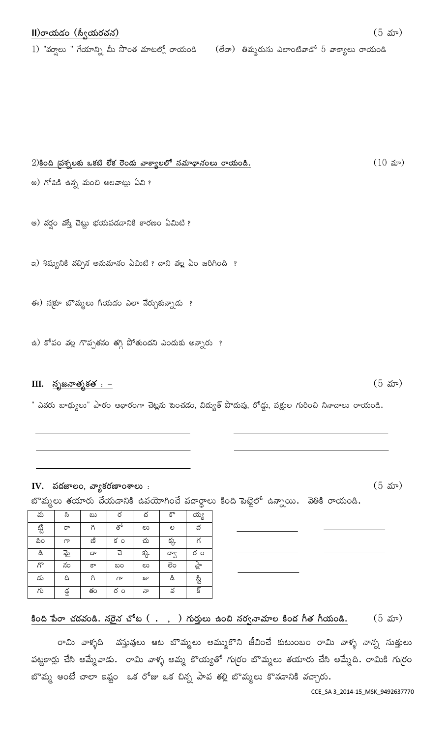# $1)$  "వర్వాలు " గేయాన్ని మీ సొంత మాటల్లో రాయండి  $($ లేదా) తిమ్మరుసు ఎలాంటివాడో 5 వాక్యాలు రాయండి

# $2)$ కింది బాశ్నలకు ఒకటి లేక రెండు వాక్యాలలో నమాథానంలు రాయండి.

అ) గోటికి ఉన్న మంచి అలవాట్లు ఏవి ?

ఆ) వర్షం వస్తే చెట్టు భయపడడానికి కారణం ఏమిటి ?

ఇ) శిష్యునికి వచ్చిన అనుమానం ఏమిటి ? దాని వల్ల ఏం జరిగింది ?

ఈ) స[కూ బొమ్మలు గీయడం ఎలా నేర్చుకున్నాడు ?

ఉ) కోపం వల్ల గొప్పతనం తగ్గి పోతుందని ఎందుకు అన్నారు ?

#### $III.$  సృజనాత్మకత  $. -$

" ఎవరు బాధ్యులు" పాఠం ఆధారంగా చెట్లను పెంచడం, విద్యుత్ పొదుపు, రోడ్డు, పక్షుల గురించి నినాదాలు రాయండి.

### IV. పదజాలం, వ్యాకరణాంశాలు :

బొమ్మలు తయారు చేయడానికి ఉపయోగించే పదార్దాలు కింది పెట్టెలో ఉన్నాయి. వెతికి రాయండి.

| మ    | సి   | ಬು | ర           | ద   | కొ   | య్య                     |
|------|------|----|-------------|-----|------|-------------------------|
| ట్టి | రా   | ಗಿ | తో          | ಲು  | ಲ    | వ                       |
| ಪಿಂ  | مل   | ణి | $5^{\circ}$ | చు  | క్క  | గ                       |
| డి   | ಫ್ತು | దా | చె          | క్క | ద్వా | రం                      |
| గొ   | నం   | కా | ಬಂ          | లు  | ಶಂ   | जूँ                     |
| డు   | ది   | ಗಿ | ൷           | జు  | డి   | ಜ್ಜಿ                    |
| గు   | డ్డ  | తం | రం          | నా  | వ    | $\overline{\mathbb{S}}$ |

### <u>కింది పేరా చదవండి. సరైన చోట ( . ) గుర్తులు ఉంచి సర్వనామాల కింద గీత గీయండి.</u> (5 మా)

రామి వాళ్ళది వస్తువులు ఆట బొమ్మలు అమ్ముకొని జీవించే కుటుంబం రామి వాళ్ళ నాన్న సుత్తులు పట్టకార్లు చేసి అమ్మేవాడు. రామి వాళ్ళ అమ్మ కొయ్యతో గుర్రం బొమ్మలు తయారు చేసి అమ్మేది. రామికి గుర్రం బొమ్మ అంటే చాలా ఇష్టం ఒక రోజు ఒక చిన్న పాప తల్లి బొమ్మలు కొనడానికి వచ్చారు.

 $(5 \text{ } 5)$ 

 $(5 \omega)$ 

 $(10 \; \text{av})$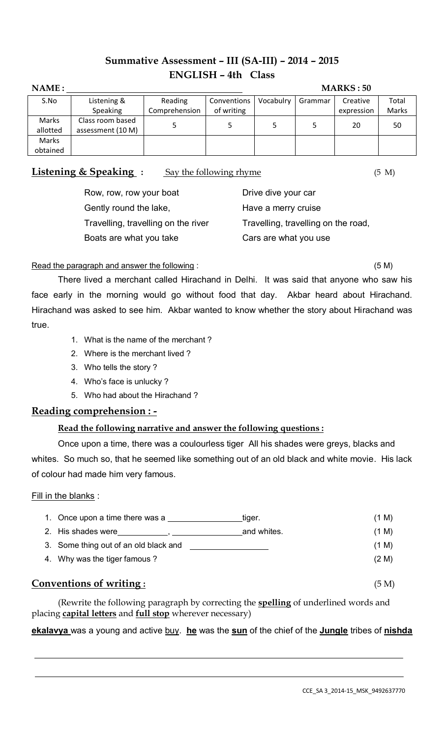# **Summative Assessment – III (SA-III) – 2014 – 2015 ENGLISH – 4th Class**

| NAME:    |                   |               |             |           |         | <b>MARKS: 50</b> |       |
|----------|-------------------|---------------|-------------|-----------|---------|------------------|-------|
| S.No     | Listening &       | Reading       | Conventions | Vocabulry | Grammar | Creative         | Total |
|          | Speaking          | Comprehension | of writing  |           |         | expression       | Marks |
| Marks    | Class room based  |               |             |           |         | 20               | 50    |
| allotted | assessment (10 M) |               |             |           |         |                  |       |
| Marks    |                   |               |             |           |         |                  |       |
| obtained |                   |               |             |           |         |                  |       |

**Listening & Speaking :** Say the following rhyme (5 M)

| Row, row, row your boat             | Drive dive your car                 |
|-------------------------------------|-------------------------------------|
| Gently round the lake,              | Have a merry cruise                 |
| Travelling, travelling on the river | Travelling, travelling on the road, |
| Boats are what you take             | Cars are what you use               |

### Read the paragraph and answer the following : (5 M)

There lived a merchant called Hirachand in Delhi. It was said that anyone who saw his face early in the morning would go without food that day. Akbar heard about Hirachand. Hirachand was asked to see him. Akbar wanted to know whether the story about Hirachand was true.

- 1. What is the name of the merchant ?
- 2. Where is the merchant lived ?
- 3. Who tells the story ?
- 4. Who's face is unlucky ?
- 5. Who had about the Hirachand ?

# **Reading comprehension : -**

# **Read the following narrative and answer the following questions :**

Once upon a time, there was a coulourless tiger All his shades were greys, blacks and whites. So much so, that he seemed like something out of an old black and white movie. His lack of colour had made him very famous.

### Fill in the blanks :

| 1. Once upon a time there was a       | tiger.      | (1 M) |
|---------------------------------------|-------------|-------|
| 2. His shades were                    | and whites. | (1 M) |
| 3. Some thing out of an old black and |             | (1 M) |
| 4. Why was the tiger famous?          |             | (2 M) |
| Conventions of writing:               |             | (5 M) |

(Rewrite the following paragraph by correcting the **spelling** of underlined words and placing **capital letters** and **full stop** wherever necessary)

**ekalavya** was a young and active buy. **he** was the **sun** of the chief of the **Jungle** tribes of **nishda**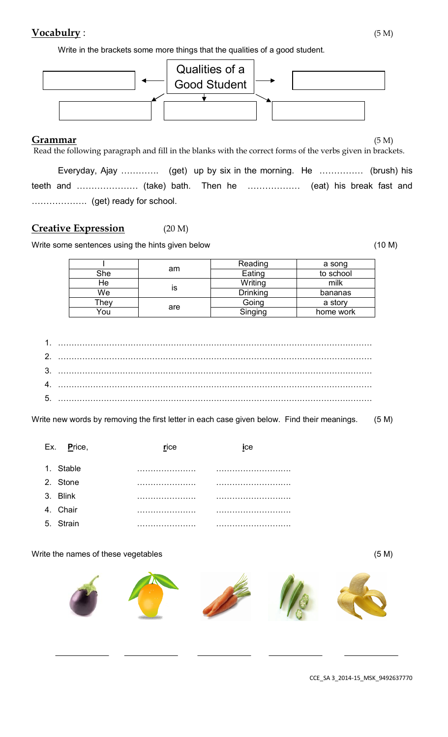# **Vocabulry** : (5 M)

Write in the brackets some more things that the qualities of a good student.



#### **Grammar** (5 M)

Read the following paragraph and fill in the blanks with the correct forms of the verbs given in brackets. Everyday, Ajay …………. (get) up by six in the morning. He …………… (brush) his teeth and ………………… (take) bath. Then he ……………… (eat) his break fast and

………………. (get) ready for school.

# **Creative Expression** (20 M)

Write some sentences using the hints given below (10 M)

|      |     | Reading         | a song    |
|------|-----|-----------------|-----------|
| She  | am  | Eating          | to school |
| ⊣e   |     | Writing         | milk      |
| We   | IS  | <b>Drinking</b> | bananas   |
| ⊺hey |     | Going           | a story   |
| You  | are | Singing         | home work |

- 1. ……………………………………………………………………………………………………… 2. ……………………………………………………………………………………………………… 3. ……………………………………………………………………………………………………… 4. ………………………………………………………………………………………………………
- 5. ………………………………………………………………………………………………………

Write new words by removing the first letter in each case given below. Find their meanings. (5 M)

| Ex. Price, | rice | ice |
|------------|------|-----|
| 1. Stable  |      |     |
| 2. Stone   |      |     |
| 3. Blink   |      |     |
| 4. Chair   |      |     |
| 5. Strain  |      |     |

Write the names of these vegetables (5 M)



CCE\_SA 3\_2014-15\_MSK\_9492637770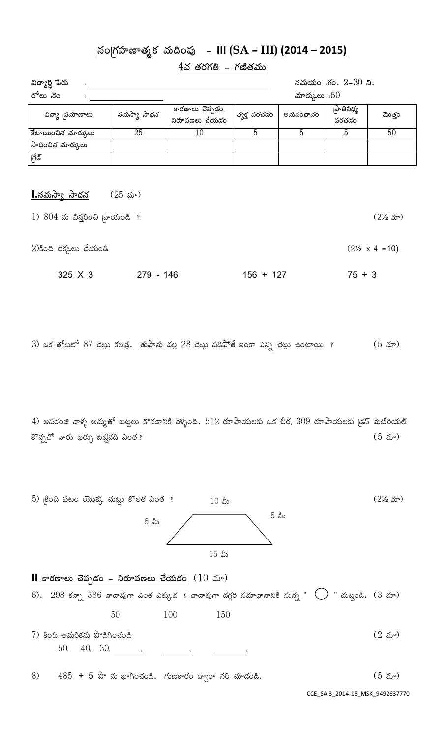# **¿xªZgâÝßéÇéyâWdâ Àâ°¬ª~ßó - III (SA – III) (2014 – 2015)**

# $4$ వ తరగతి - గణితము

| విద్యార్ది పేరు<br>$\ddot{\phantom{a}}$ |             |                                    |                 |           | సమయం :గం. 2-30 ని.  |        |
|-----------------------------------------|-------------|------------------------------------|-----------------|-----------|---------------------|--------|
| రోలు నెం                                |             |                                    | మార్కులు : $50$ |           |                     |        |
| విద్యా 'పమాణాలు                         | సమస్యా సాధన | కారణాలు చెప్పడం,<br>నిరూపణలు చేయడం | వ్వక్త పరచడం    | అనుసంధానం | [పాతినిధ్య<br>పరచడం | మొత్తం |
| కేటాయించిన మార్కులు                     | 25          | 10                                 |                 |           |                     | 50     |
| సాధించిన మార్కులు                       |             |                                    |                 |           |                     |        |
| ಗೆಡಿ                                    |             |                                    |                 |           |                     |        |

# **I.**సమస్యా సాధన (25 మా)

| $1)$ $804$ ను విస్తరించి (వాయండి ? |           |             | $(2\frac{1}{2} \omega)$        |
|------------------------------------|-----------|-------------|--------------------------------|
| $2$ )కింది లెక్కలు చేయండి          |           |             | $(2\frac{1}{2} \times 4 = 10)$ |
| 325 X 3                            | 279 - 146 | $156 + 127$ | $75 \div 3$                    |

3) ఒక తోటలో 87 చెట్లు కలవు. తుఫాను వల్ల 28 చెట్లు పడిపోతే ఇంకా ఎన్ని చెట్లు ఉంటాయి ? (5 మా)

4) అపరంజి వాళ్ళ అమ్మతో బట్టలు కొనడానికి వెళ్ళింది.  $512$  రూపాయలకు ఒక చీర,  $309$  రూపాయలకు (డస్ మెటీరియల్ కొన్నచో వారు ఖర్చు పెట్టినది ఎంత ?<br>ఆండ్యూబీ కాస్తులు స్వామానికి స్వామానికి స్వామానికి స్వామానికి స్వామానికి స్వామానికి స్వామానికి స్వామానికి స్వా

5) కింది పటం యొక్క చుట్టు కొలత ఎంత ?  $10 \text{ s}$ ు రాజుడ బాబాబు అంది 21⁄2 మా)  $10 \,$  మీ  $5$  æ $\begin{matrix}5&6\end{matrix}$  $15$  మీ

|    |  | <b>II</b> కారణాలు చెప్పడం – నిరూపణలు చేయడం $(10 \text{ m})$ |     |     |                                                                                                                         |  |                     |
|----|--|-------------------------------------------------------------|-----|-----|-------------------------------------------------------------------------------------------------------------------------|--|---------------------|
|    |  |                                                             |     |     | 6). $298$ కన్నా $386$ దాదాపుగా ఎంత ఎక్కువ ? దాదాపుగా దగ్గరి సమాధానానికి సున్న " $\bigcup$ " చుట్టండి. $(3 \text{ arc})$ |  |                     |
|    |  | 50                                                          | 100 | 150 |                                                                                                                         |  |                     |
|    |  | 7) కింది అమరికను పొడిగించండి                                |     |     |                                                                                                                         |  | $(2 \, \text{arc})$ |
|    |  | 50, 40, 30, ,                                               |     |     |                                                                                                                         |  |                     |
| 8) |  | $485 \div 5$ పొ ను భాగించండి. గుణకారం ద్వారా సరి చూడండి.    |     |     |                                                                                                                         |  | (5 మా)              |

CCE\_SA 3\_2014-15\_MSK\_9492637770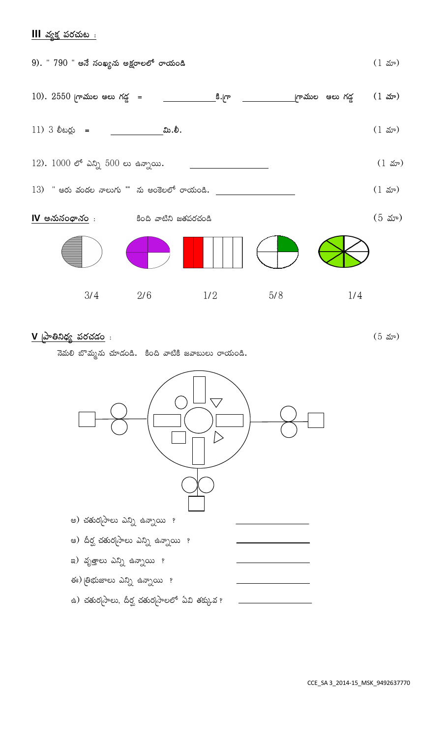# **III** *వ్య*క్త పరచుట :



**<sup>V</sup> Z¹Ö»¾|âX ~ßpâkâvâª** : (5 ˉ̎)



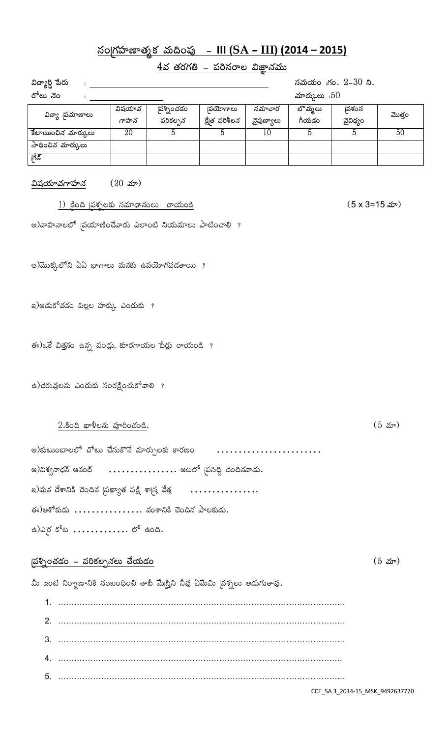# **¿xªZgâÝßéÇéyâWdâ Àâ°¬ª~ßó - III (SA – III) (2014 – 2015)**

### <u>4వ తరగతి – పరిసరాల విజ్ఞానము</u>

| విద్యార్ది పేరు     |                |                        |                                  |                      |                  | సమయం :గం. 2-30 ని. |        |
|---------------------|----------------|------------------------|----------------------------------|----------------------|------------------|--------------------|--------|
| రోలు నెం            |                | మార్కులు : $50$        |                                  |                      |                  |                    |        |
| విద్యా 'పమాణాలు     | విషయావ<br>గాహన | స్న్యోంచడం<br>పరికల్పన | <b> పయోగాలు</b><br>క్షేత పరిశీలన | సమాచార<br>నైపుణ్యాలు | బొమ్మలు<br>గీయడం | పశంస<br>వైవిధ్యం   | మొత్తం |
| కేటాయించిన మార్కులు | 20             |                        |                                  | 10                   |                  |                    | 50     |
| సాధించిన మార్కులు   |                |                        |                                  |                      |                  |                    |        |
| ಗೆಡಿ                |                |                        |                                  |                      |                  |                    |        |

#### $\Delta$ షయా*వ*గాహన (20 మా)

1) ZѪ¬ Z~ßµâQÈæ ¿xÀâÃé|Ö×âªÈ° pÖÎâ°ªÚ (5 x 3=15 **ˉ̎**)

ಅ)వాహనాలలో (పయాణించేవారు ఎలాంటి నియమాలు పాటించాలి ?

ఆ)మొక్కలోని ఏఏ భాగాలు మనకు ఉపయోగపడతాయి ?

 $E(z)$ ఆడుకోవడం పిల్లల హక్కు ఎందుకు ?

 $\mathcal{L}(\mathcal{S})$ ఒకే విత్తనం ఉన్న పండ్లు, కూరగాయల పేర్లు రాయండి ?

ఉ)చెరువులను ఎందుకు సంరక్షించుకోవాలి ?

#### $2.\overline{3}$ ಂದಿ ఖాళీలను పూరించండి.  $(5 \text{ m})$

| ఆ)విశ్వనాధన్ ఆనంద్       ఆటలో  పసిధ్ధి చెందినవాడు. |
|----------------------------------------------------|
|                                                    |
| ఈ)అశోకుడు  వంశానికి చెందిన పాలకుడు.                |
| ఉ)ఎ $\beta$ కోట $\ldots$ లో ఉంది.                  |

#### **Z** (5 మా) (5 <sup>2</sup>)

మీ ఇంటి నిర్మాణానికి సంబంధించి తాబీ మే<sub></sub>ట్తిని నీవు ఏమేమి <sub>(</sub>పశ్నలు అడుగుతావు.

1. …………………………………………………………………………………………….. 2. …………………………………………………………………………………………….. 3. …………………………………………………………………………………………….. 4. ……………………………………………………………………………………………. 5. ……………………………………………………………………………………………..

CCE\_SA 3\_2014-15\_MSK\_9492637770